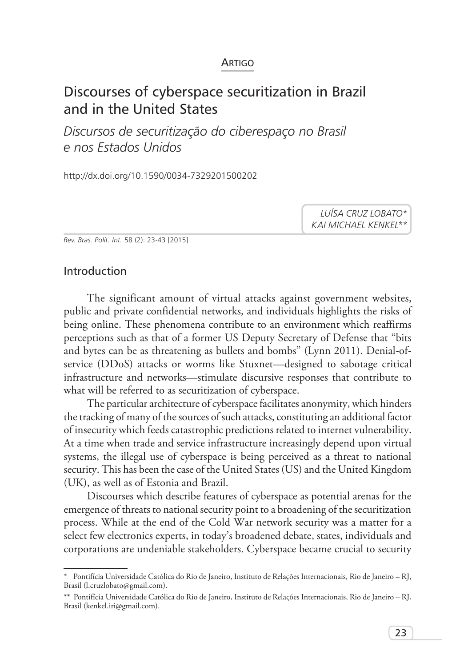## Artigo

# Discourses of cyberspace securitization in Brazil and in the United States

*Discursos de securitização do ciberespaço no Brasil e nos Estados Unidos*

http://dx.doi.org/10.1590/0034-7329201500202

*LUÍSA CRUZ LOBATO\* KAI MICHAEL KENKEL\*\**

*Rev. Bras. Polít. Int.* 58 (2): 23-43 [2015]

## Introduction

The significant amount of virtual attacks against government websites, public and private confidential networks, and individuals highlights the risks of being online. These phenomena contribute to an environment which reaffirms perceptions such as that of a former US Deputy Secretary of Defense that "bits and bytes can be as threatening as bullets and bombs" (Lynn 2011). Denial-ofservice (DDoS) attacks or worms like Stuxnet—designed to sabotage critical infrastructure and networks—stimulate discursive responses that contribute to what will be referred to as securitization of cyberspace.

The particular architecture of cyberspace facilitates anonymity, which hinders the tracking of many of the sources of such attacks, constituting an additional factor of insecurity which feeds catastrophic predictions related to internet vulnerability. At a time when trade and service infrastructure increasingly depend upon virtual systems, the illegal use of cyberspace is being perceived as a threat to national security. This has been the case of the United States (US) and the United Kingdom (UK), as well as of Estonia and Brazil.

Discourses which describe features of cyberspace as potential arenas for the emergence of threats to national security point to a broadening of the securitization process. While at the end of the Cold War network security was a matter for a select few electronics experts, in today's broadened debate, states, individuals and corporations are undeniable stakeholders. Cyberspace became crucial to security

<sup>\*</sup> Pontifícia Universidade Católica do Rio de Janeiro, Instituto de Relações Internacionais, Rio de Janeiro – RJ, Brasil (l.cruzlobato@gmail.com).

<sup>\*\*</sup> Pontifícia Universidade Católica do Rio de Janeiro, Instituto de Relações Internacionais, Rio de Janeiro – RJ, Brasil (kenkel.iri@gmail.com).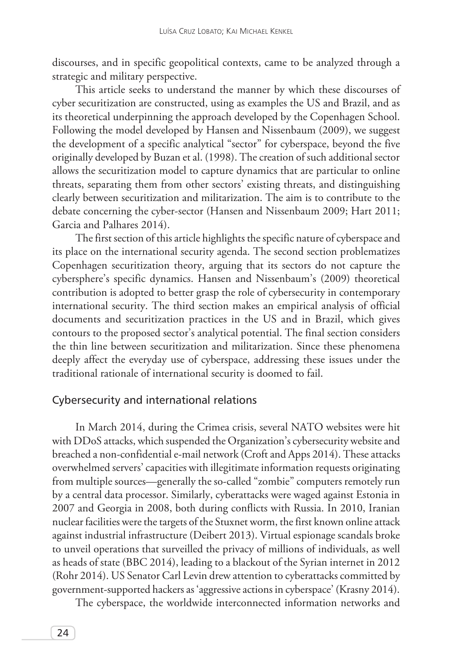discourses, and in specific geopolitical contexts, came to be analyzed through a strategic and military perspective.

This article seeks to understand the manner by which these discourses of cyber securitization are constructed, using as examples the US and Brazil, and as its theoretical underpinning the approach developed by the Copenhagen School. Following the model developed by Hansen and Nissenbaum (2009), we suggest the development of a specific analytical "sector" for cyberspace, beyond the five originally developed by Buzan et al. (1998). The creation of such additional sector allows the securitization model to capture dynamics that are particular to online threats, separating them from other sectors' existing threats, and distinguishing clearly between securitization and militarization. The aim is to contribute to the debate concerning the cyber-sector (Hansen and Nissenbaum 2009; Hart 2011; Garcia and Palhares 2014).

The first section of this article highlights the specific nature of cyberspace and its place on the international security agenda. The second section problematizes Copenhagen securitization theory, arguing that its sectors do not capture the cybersphere's specific dynamics. Hansen and Nissenbaum's (2009) theoretical contribution is adopted to better grasp the role of cybersecurity in contemporary international security. The third section makes an empirical analysis of official documents and securitization practices in the US and in Brazil, which gives contours to the proposed sector's analytical potential. The final section considers the thin line between securitization and militarization. Since these phenomena deeply affect the everyday use of cyberspace, addressing these issues under the traditional rationale of international security is doomed to fail.

## Cybersecurity and international relations

In March 2014, during the Crimea crisis, several NATO websites were hit with DDoS attacks, which suspended the Organization's cybersecurity website and breached a non-confidential e-mail network (Croft and Apps 2014). These attacks overwhelmed servers' capacities with illegitimate information requests originating from multiple sources—generally the so-called "zombie" computers remotely run by a central data processor. Similarly, cyberattacks were waged against Estonia in 2007 and Georgia in 2008, both during conflicts with Russia. In 2010, Iranian nuclear facilities were the targets of the Stuxnet worm, the first known online attack against industrial infrastructure (Deibert 2013). Virtual espionage scandals broke to unveil operations that surveilled the privacy of millions of individuals, as well as heads of state (BBC 2014), leading to a blackout of the Syrian internet in 2012 (Rohr 2014). US Senator Carl Levin drew attention to cyberattacks committed by government-supported hackers as 'aggressive actions in cyberspace' (Krasny 2014).

The cyberspace, the worldwide interconnected information networks and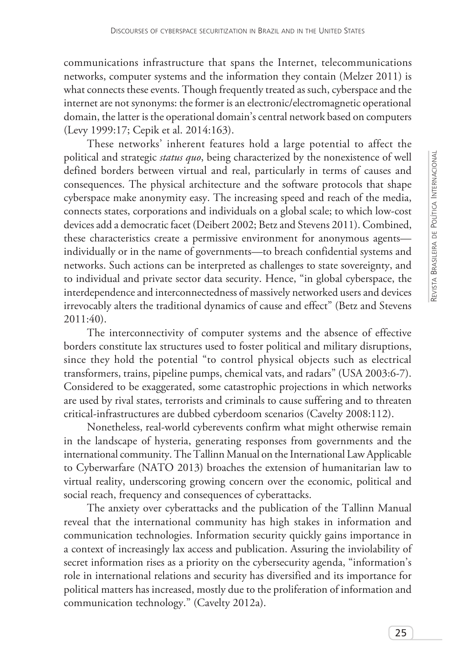communications infrastructure that spans the Internet, telecommunications networks, computer systems and the information they contain (Melzer 2011) is what connects these events. Though frequently treated as such, cyberspace and the internet are not synonyms: the former is an electronic/electromagnetic operational domain, the latter is the operational domain's central network based on computers (Levy 1999:17; Cepik et al. 2014:163).

These networks' inherent features hold a large potential to affect the political and strategic *status quo*, being characterized by the nonexistence of well defined borders between virtual and real, particularly in terms of causes and consequences. The physical architecture and the software protocols that shape cyberspace make anonymity easy. The increasing speed and reach of the media, connects states, corporations and individuals on a global scale; to which low-cost devices add a democratic facet (Deibert 2002; Betz and Stevens 2011). Combined, these characteristics create a permissive environment for anonymous agents individually or in the name of governments—to breach confidential systems and networks. Such actions can be interpreted as challenges to state sovereignty, and to individual and private sector data security. Hence, "in global cyberspace, the interdependence and interconnectedness of massively networked users and devices irrevocably alters the traditional dynamics of cause and effect" (Betz and Stevens 2011:40).

The interconnectivity of computer systems and the absence of effective borders constitute lax structures used to foster political and military disruptions, since they hold the potential "to control physical objects such as electrical transformers, trains, pipeline pumps, chemical vats, and radars" (USA 2003:6-7). Considered to be exaggerated, some catastrophic projections in which networks are used by rival states, terrorists and criminals to cause suffering and to threaten critical-infrastructures are dubbed cyberdoom scenarios (Cavelty 2008:112).

Nonetheless, real-world cyberevents confirm what might otherwise remain in the landscape of hysteria, generating responses from governments and the international community. The Tallinn Manual on the International Law Applicable to Cyberwarfare (NATO 2013) broaches the extension of humanitarian law to virtual reality, underscoring growing concern over the economic, political and social reach, frequency and consequences of cyberattacks.

The anxiety over cyberattacks and the publication of the Tallinn Manual reveal that the international community has high stakes in information and communication technologies. Information security quickly gains importance in a context of increasingly lax access and publication. Assuring the inviolability of secret information rises as a priority on the cybersecurity agenda, "information's role in international relations and security has diversified and its importance for political matters has increased, mostly due to the proliferation of information and communication technology." (Cavelty 2012a).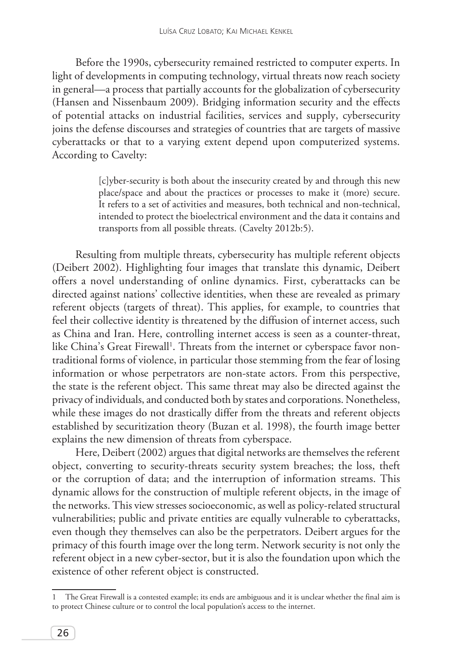Before the 1990s, cybersecurity remained restricted to computer experts. In light of developments in computing technology, virtual threats now reach society in general—a process that partially accounts for the globalization of cybersecurity (Hansen and Nissenbaum 2009). Bridging information security and the effects of potential attacks on industrial facilities, services and supply, cybersecurity joins the defense discourses and strategies of countries that are targets of massive cyberattacks or that to a varying extent depend upon computerized systems. According to Cavelty:

> [c]yber-security is both about the insecurity created by and through this new place/space and about the practices or processes to make it (more) secure. It refers to a set of activities and measures, both technical and non-technical, intended to protect the bioelectrical environment and the data it contains and transports from all possible threats. (Cavelty 2012b:5).

Resulting from multiple threats, cybersecurity has multiple referent objects (Deibert 2002). Highlighting four images that translate this dynamic, Deibert offers a novel understanding of online dynamics. First, cyberattacks can be directed against nations' collective identities, when these are revealed as primary referent objects (targets of threat). This applies, for example, to countries that feel their collective identity is threatened by the diffusion of internet access, such as China and Iran. Here, controlling internet access is seen as a counter-threat, like China's Great Firewall<sup>1</sup>. Threats from the internet or cyberspace favor nontraditional forms of violence, in particular those stemming from the fear of losing information or whose perpetrators are non-state actors. From this perspective, the state is the referent object. This same threat may also be directed against the privacy of individuals, and conducted both by states and corporations. Nonetheless, while these images do not drastically differ from the threats and referent objects established by securitization theory (Buzan et al. 1998), the fourth image better explains the new dimension of threats from cyberspace.

Here, Deibert (2002) argues that digital networks are themselves the referent object, converting to security-threats security system breaches; the loss, theft or the corruption of data; and the interruption of information streams. This dynamic allows for the construction of multiple referent objects, in the image of the networks. This view stresses socioeconomic, as well as policy-related structural vulnerabilities; public and private entities are equally vulnerable to cyberattacks, even though they themselves can also be the perpetrators. Deibert argues for the primacy of this fourth image over the long term. Network security is not only the referent object in a new cyber-sector, but it is also the foundation upon which the existence of other referent object is constructed.

The Great Firewall is a contested example; its ends are ambiguous and it is unclear whether the final aim is to protect Chinese culture or to control the local population's access to the internet.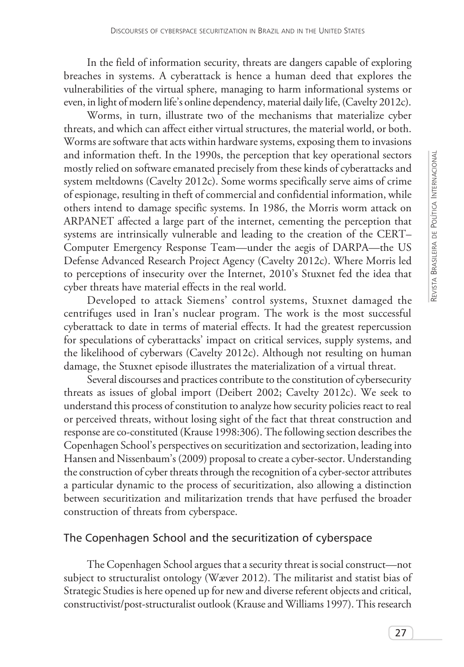In the field of information security, threats are dangers capable of exploring breaches in systems. A cyberattack is hence a human deed that explores the vulnerabilities of the virtual sphere, managing to harm informational systems or even, in light of modern life's online dependency, material daily life, (Cavelty 2012c).

Worms, in turn, illustrate two of the mechanisms that materialize cyber threats, and which can affect either virtual structures, the material world, or both. Worms are software that acts within hardware systems, exposing them to invasions and information theft. In the 1990s, the perception that key operational sectors mostly relied on software emanated precisely from these kinds of cyberattacks and system meltdowns (Cavelty 2012c). Some worms specifically serve aims of crime of espionage, resulting in theft of commercial and confidential information, while others intend to damage specific systems. In 1986, the Morris worm attack on ARPANET affected a large part of the internet, cementing the perception that systems are intrinsically vulnerable and leading to the creation of the CERT– Computer Emergency Response Team—under the aegis of DARPA—the US Defense Advanced Research Project Agency (Cavelty 2012c). Where Morris led to perceptions of insecurity over the Internet, 2010's Stuxnet fed the idea that cyber threats have material effects in the real world.

Developed to attack Siemens' control systems, Stuxnet damaged the centrifuges used in Iran's nuclear program. The work is the most successful cyberattack to date in terms of material effects. It had the greatest repercussion for speculations of cyberattacks' impact on critical services, supply systems, and the likelihood of cyberwars (Cavelty 2012c). Although not resulting on human damage, the Stuxnet episode illustrates the materialization of a virtual threat.

Several discourses and practices contribute to the constitution of cybersecurity threats as issues of global import (Deibert 2002; Cavelty 2012c). We seek to understand this process of constitution to analyze how security policies react to real or perceived threats, without losing sight of the fact that threat construction and response are co-constituted (Krause 1998:306). The following section describes the Copenhagen School's perspectives on securitization and sectorization, leading into Hansen and Nissenbaum's (2009) proposal to create a cyber-sector. Understanding the construction of cyber threats through the recognition of a cyber-sector attributes a particular dynamic to the process of securitization, also allowing a distinction between securitization and militarization trends that have perfused the broader construction of threats from cyberspace.

### The Copenhagen School and the securitization of cyberspace

The Copenhagen School argues that a security threat is social construct—not subject to structuralist ontology (Wæver 2012). The militarist and statist bias of Strategic Studies is here opened up for new and diverse referent objects and critical, constructivist/post-structuralist outlook (Krause and Williams 1997). This research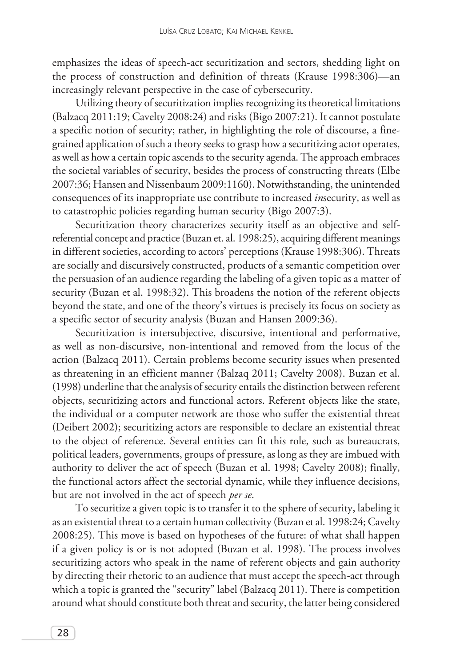emphasizes the ideas of speech-act securitization and sectors, shedding light on the process of construction and definition of threats (Krause 1998:306)—an increasingly relevant perspective in the case of cybersecurity.

Utilizing theory of securitization implies recognizing its theoretical limitations (Balzacq 2011:19; Cavelty 2008:24) and risks (Bigo 2007:21). It cannot postulate a specific notion of security; rather, in highlighting the role of discourse, a finegrained application of such a theory seeks to grasp how a securitizing actor operates, as well as how a certain topic ascends to the security agenda. The approach embraces the societal variables of security, besides the process of constructing threats (Elbe 2007:36; Hansen and Nissenbaum 2009:1160). Notwithstanding, the unintended consequences of its inappropriate use contribute to increased *in*security, as well as to catastrophic policies regarding human security (Bigo 2007:3).

Securitization theory characterizes security itself as an objective and selfreferential concept and practice (Buzan et. al. 1998:25), acquiring different meanings in different societies, according to actors' perceptions (Krause 1998:306). Threats are socially and discursively constructed, products of a semantic competition over the persuasion of an audience regarding the labeling of a given topic as a matter of security (Buzan et al. 1998:32). This broadens the notion of the referent objects beyond the state, and one of the theory's virtues is precisely its focus on society as a specific sector of security analysis (Buzan and Hansen 2009:36).

Securitization is intersubjective, discursive, intentional and performative, as well as non-discursive, non-intentional and removed from the locus of the action (Balzacq 2011). Certain problems become security issues when presented as threatening in an efficient manner (Balzaq 2011; Cavelty 2008). Buzan et al. (1998) underline that the analysis of security entails the distinction between referent objects, securitizing actors and functional actors. Referent objects like the state, the individual or a computer network are those who suffer the existential threat (Deibert 2002); securitizing actors are responsible to declare an existential threat to the object of reference. Several entities can fit this role, such as bureaucrats, political leaders, governments, groups of pressure, as long as they are imbued with authority to deliver the act of speech (Buzan et al. 1998; Cavelty 2008); finally, the functional actors affect the sectorial dynamic, while they influence decisions, but are not involved in the act of speech *per se*.

To securitize a given topic is to transfer it to the sphere of security, labeling it as an existential threat to a certain human collectivity (Buzan et al. 1998:24; Cavelty 2008:25). This move is based on hypotheses of the future: of what shall happen if a given policy is or is not adopted (Buzan et al. 1998). The process involves securitizing actors who speak in the name of referent objects and gain authority by directing their rhetoric to an audience that must accept the speech-act through which a topic is granted the "security" label (Balzacq 2011). There is competition around what should constitute both threat and security, the latter being considered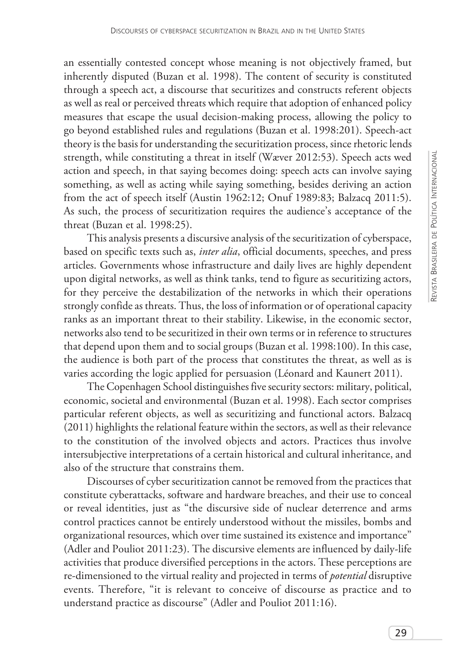an essentially contested concept whose meaning is not objectively framed, but inherently disputed (Buzan et al. 1998). The content of security is constituted through a speech act, a discourse that securitizes and constructs referent objects as well as real or perceived threats which require that adoption of enhanced policy measures that escape the usual decision-making process, allowing the policy to go beyond established rules and regulations (Buzan et al. 1998:201). Speech-act theory is the basis for understanding the securitization process, since rhetoric lends strength, while constituting a threat in itself (Wæver 2012:53). Speech acts wed action and speech, in that saying becomes doing: speech acts can involve saying something, as well as acting while saying something, besides deriving an action from the act of speech itself (Austin 1962:12; Onuf 1989:83; Balzacq 2011:5). As such, the process of securitization requires the audience's acceptance of the threat (Buzan et al. 1998:25).

This analysis presents a discursive analysis of the securitization of cyberspace, based on specific texts such as, *inter alia*, official documents, speeches, and press articles. Governments whose infrastructure and daily lives are highly dependent upon digital networks, as well as think tanks, tend to figure as securitizing actors, for they perceive the destabilization of the networks in which their operations strongly confide as threats. Thus, the loss of information or of operational capacity ranks as an important threat to their stability. Likewise, in the economic sector, networks also tend to be securitized in their own terms or in reference to structures that depend upon them and to social groups (Buzan et al. 1998:100). In this case, the audience is both part of the process that constitutes the threat, as well as is varies according the logic applied for persuasion (Léonard and Kaunert 2011).

The Copenhagen School distinguishes five security sectors: military, political, economic, societal and environmental (Buzan et al. 1998). Each sector comprises particular referent objects, as well as securitizing and functional actors. Balzacq (2011) highlights the relational feature within the sectors, as well as their relevance to the constitution of the involved objects and actors. Practices thus involve intersubjective interpretations of a certain historical and cultural inheritance, and also of the structure that constrains them.

Discourses of cyber securitization cannot be removed from the practices that constitute cyberattacks, software and hardware breaches, and their use to conceal or reveal identities, just as "the discursive side of nuclear deterrence and arms control practices cannot be entirely understood without the missiles, bombs and organizational resources, which over time sustained its existence and importance" (Adler and Pouliot 2011:23). The discursive elements are influenced by daily-life activities that produce diversified perceptions in the actors. These perceptions are re-dimensioned to the virtual reality and projected in terms of *potential* disruptive events. Therefore, "it is relevant to conceive of discourse as practice and to understand practice as discourse" (Adler and Pouliot 2011:16).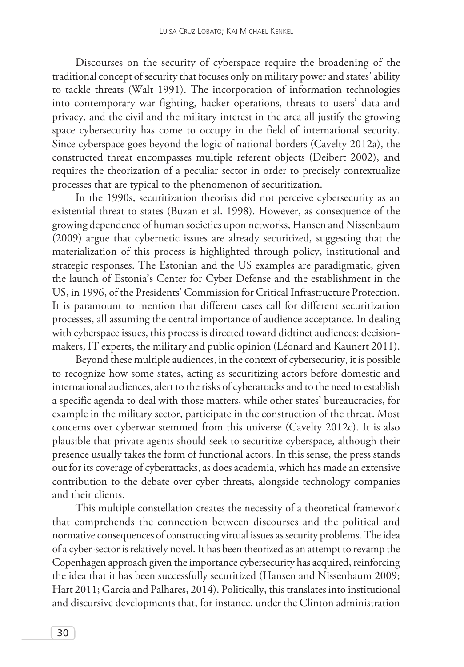Discourses on the security of cyberspace require the broadening of the traditional concept of security that focuses only on military power and states' ability to tackle threats (Walt 1991). The incorporation of information technologies into contemporary war fighting, hacker operations, threats to users' data and privacy, and the civil and the military interest in the area all justify the growing space cybersecurity has come to occupy in the field of international security. Since cyberspace goes beyond the logic of national borders (Cavelty 2012a), the constructed threat encompasses multiple referent objects (Deibert 2002), and requires the theorization of a peculiar sector in order to precisely contextualize processes that are typical to the phenomenon of securitization.

In the 1990s, securitization theorists did not perceive cybersecurity as an existential threat to states (Buzan et al. 1998). However, as consequence of the growing dependence of human societies upon networks, Hansen and Nissenbaum (2009) argue that cybernetic issues are already securitized, suggesting that the materialization of this process is highlighted through policy, institutional and strategic responses. The Estonian and the US examples are paradigmatic, given the launch of Estonia's Center for Cyber Defense and the establishment in the US, in 1996, of the Presidents' Commission for Critical Infrastructure Protection. It is paramount to mention that different cases call for different securitization processes, all assuming the central importance of audience acceptance. In dealing with cyberspace issues, this process is directed toward didtinct audiences: decisionmakers, IT experts, the military and public opinion (Léonard and Kaunert 2011).

Beyond these multiple audiences, in the context of cybersecurity, it is possible to recognize how some states, acting as securitizing actors before domestic and international audiences, alert to the risks of cyberattacks and to the need to establish a specific agenda to deal with those matters, while other states' bureaucracies, for example in the military sector, participate in the construction of the threat. Most concerns over cyberwar stemmed from this universe (Cavelty 2012c). It is also plausible that private agents should seek to securitize cyberspace, although their presence usually takes the form of functional actors. In this sense, the press stands out for its coverage of cyberattacks, as does academia, which has made an extensive contribution to the debate over cyber threats, alongside technology companies and their clients.

This multiple constellation creates the necessity of a theoretical framework that comprehends the connection between discourses and the political and normative consequences of constructing virtual issues as security problems. The idea of a cyber-sector is relatively novel. It has been theorized as an attempt to revamp the Copenhagen approach given the importance cybersecurity has acquired, reinforcing the idea that it has been successfully securitized (Hansen and Nissenbaum 2009; Hart 2011; Garcia and Palhares, 2014). Politically, this translates into institutional and discursive developments that, for instance, under the Clinton administration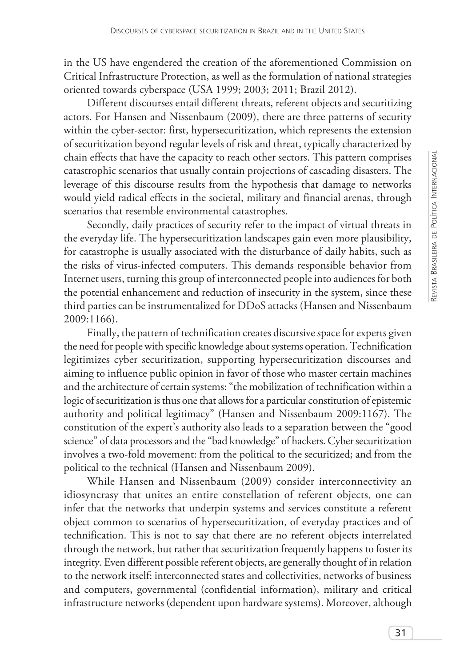in the US have engendered the creation of the aforementioned Commission on Critical Infrastructure Protection, as well as the formulation of national strategies oriented towards cyberspace (USA 1999; 2003; 2011; Brazil 2012).

Different discourses entail different threats, referent objects and securitizing actors. For Hansen and Nissenbaum (2009), there are three patterns of security within the cyber-sector: first, hypersecuritization, which represents the extension of securitization beyond regular levels of risk and threat, typically characterized by chain effects that have the capacity to reach other sectors. This pattern comprises catastrophic scenarios that usually contain projections of cascading disasters. The leverage of this discourse results from the hypothesis that damage to networks would yield radical effects in the societal, military and financial arenas, through scenarios that resemble environmental catastrophes.

Secondly, daily practices of security refer to the impact of virtual threats in the everyday life. The hypersecuritization landscapes gain even more plausibility, for catastrophe is usually associated with the disturbance of daily habits, such as the risks of virus-infected computers. This demands responsible behavior from Internet users, turning this group of interconnected people into audiences for both the potential enhancement and reduction of insecurity in the system, since these third parties can be instrumentalized for DDoS attacks (Hansen and Nissenbaum 2009:1166).

Finally, the pattern of technification creates discursive space for experts given the need for people with specific knowledge about systems operation. Technification legitimizes cyber securitization, supporting hypersecuritization discourses and aiming to influence public opinion in favor of those who master certain machines and the architecture of certain systems: "the mobilization of technification within a logic of securitization is thus one that allows for a particular constitution of epistemic authority and political legitimacy" (Hansen and Nissenbaum 2009:1167). The constitution of the expert's authority also leads to a separation between the "good science" of data processors and the "bad knowledge" of hackers. Cyber securitization involves a two-fold movement: from the political to the securitized; and from the political to the technical (Hansen and Nissenbaum 2009).

While Hansen and Nissenbaum (2009) consider interconnectivity an idiosyncrasy that unites an entire constellation of referent objects, one can infer that the networks that underpin systems and services constitute a referent object common to scenarios of hypersecuritization, of everyday practices and of technification. This is not to say that there are no referent objects interrelated through the network, but rather that securitization frequently happens to foster its integrity. Even different possible referent objects, are generally thought of in relation to the network itself: interconnected states and collectivities, networks of business and computers, governmental (confidential information), military and critical infrastructure networks (dependent upon hardware systems). Moreover, although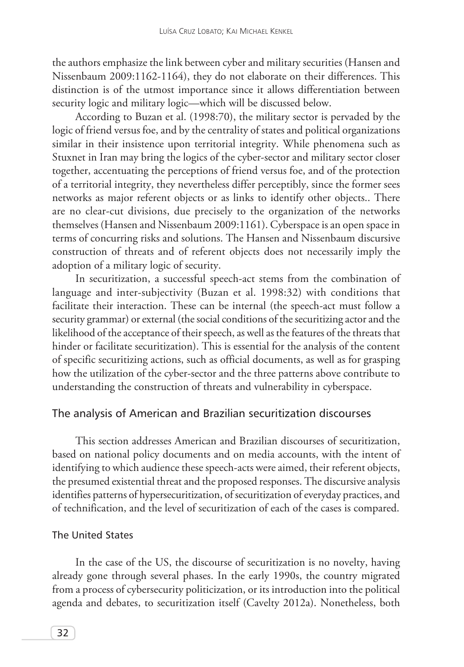the authors emphasize the link between cyber and military securities (Hansen and Nissenbaum 2009:1162-1164), they do not elaborate on their differences. This distinction is of the utmost importance since it allows differentiation between security logic and military logic—which will be discussed below.

According to Buzan et al. (1998:70), the military sector is pervaded by the logic of friend versus foe, and by the centrality of states and political organizations similar in their insistence upon territorial integrity. While phenomena such as Stuxnet in Iran may bring the logics of the cyber-sector and military sector closer together, accentuating the perceptions of friend versus foe, and of the protection of a territorial integrity, they nevertheless differ perceptibly, since the former sees networks as major referent objects or as links to identify other objects.. There are no clear-cut divisions, due precisely to the organization of the networks themselves (Hansen and Nissenbaum 2009:1161). Cyberspace is an open space in terms of concurring risks and solutions. The Hansen and Nissenbaum discursive construction of threats and of referent objects does not necessarily imply the adoption of a military logic of security.

In securitization, a successful speech-act stems from the combination of language and inter-subjectivity (Buzan et al. 1998:32) with conditions that facilitate their interaction. These can be internal (the speech-act must follow a security grammar) or external (the social conditions of the securitizing actor and the likelihood of the acceptance of their speech, as well as the features of the threats that hinder or facilitate securitization). This is essential for the analysis of the content of specific securitizing actions, such as official documents, as well as for grasping how the utilization of the cyber-sector and the three patterns above contribute to understanding the construction of threats and vulnerability in cyberspace.

## The analysis of American and Brazilian securitization discourses

This section addresses American and Brazilian discourses of securitization, based on national policy documents and on media accounts, with the intent of identifying to which audience these speech-acts were aimed, their referent objects, the presumed existential threat and the proposed responses. The discursive analysis identifies patterns of hypersecuritization, of securitization of everyday practices, and of technification, and the level of securitization of each of the cases is compared.

## The United States

In the case of the US, the discourse of securitization is no novelty, having already gone through several phases. In the early 1990s, the country migrated from a process of cybersecurity politicization, or its introduction into the political agenda and debates, to securitization itself (Cavelty 2012a). Nonetheless, both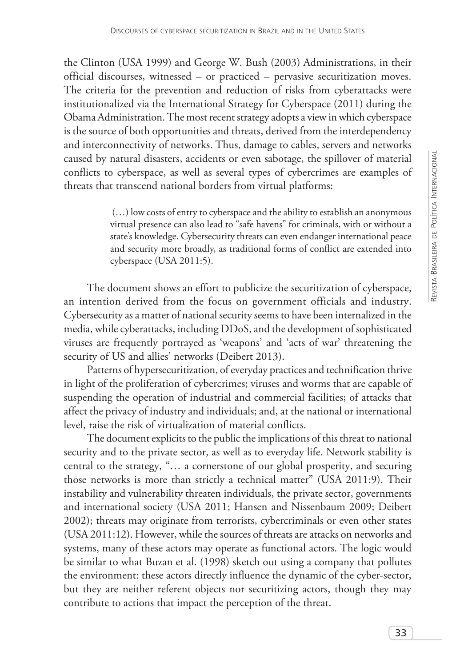the Clinton (USA 1999) and George W. Bush (2003) Administrations, in their official discourses, witnessed – or practiced – pervasive securitization moves. The criteria for the prevention and reduction of risks from cyberattacks were institutionalized via the International Strategy for Cyberspace (2011) during the Obama Administration. The most recent strategy adopts a view in which cyberspace is the source of both opportunities and threats, derived from the interdependency and interconnectivity of networks. Thus, damage to cables, servers and networks caused by natural disasters, accidents or even sabotage, the spillover of material conflicts to cyberspace, as well as several types of cybercrimes are examples of threats that transcend national borders from virtual platforms:

> (…) low costs of entry to cyberspace and the ability to establish an anonymous virtual presence can also lead to "safe havens" for criminals, with or without a state's knowledge. Cybersecurity threats can even endanger international peace and security more broadly, as traditional forms of conflict are extended into cyberspace (USA 2011:5).

The document shows an effort to publicize the securitization of cyberspace, an intention derived from the focus on government officials and industry. Cybersecurity as a matter of national security seems to have been internalized in the media, while cyberattacks, including DDoS, and the development of sophisticated viruses are frequently portrayed as 'weapons' and 'acts of war' threatening the security of US and allies' networks (Deibert 2013).

Patterns of hypersecuritization, of everyday practices and technification thrive in light of the proliferation of cybercrimes; viruses and worms that are capable of suspending the operation of industrial and commercial facilities; of attacks that affect the privacy of industry and individuals; and, at the national or international level, raise the risk of virtualization of material conflicts.

The document explicits to the public the implications of this threat to national security and to the private sector, as well as to everyday life. Network stability is central to the strategy, "… a cornerstone of our global prosperity, and securing those networks is more than strictly a technical matter" (USA 2011:9). Their instability and vulnerability threaten individuals, the private sector, governments and international society (USA 2011; Hansen and Nissenbaum 2009; Deibert 2002); threats may originate from terrorists, cybercriminals or even other states (USA 2011:12). However, while the sources of threats are attacks on networks and systems, many of these actors may operate as functional actors. The logic would be similar to what Buzan et al. (1998) sketch out using a company that pollutes the environment: these actors directly influence the dynamic of the cyber-sector, but they are neither referent objects nor securitizing actors, though they may contribute to actions that impact the perception of the threat.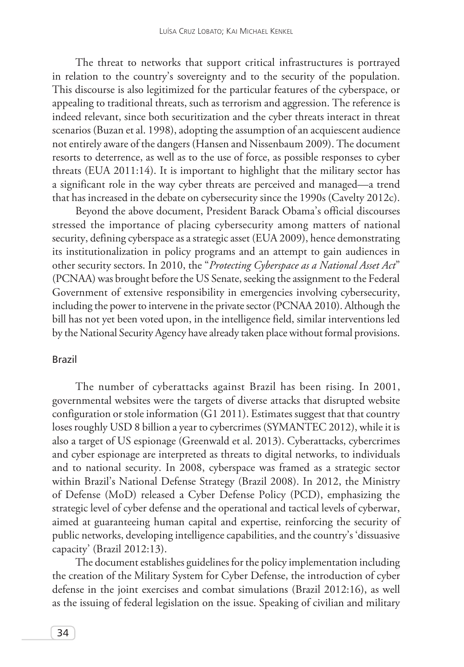The threat to networks that support critical infrastructures is portrayed in relation to the country's sovereignty and to the security of the population. This discourse is also legitimized for the particular features of the cyberspace, or appealing to traditional threats, such as terrorism and aggression. The reference is indeed relevant, since both securitization and the cyber threats interact in threat scenarios (Buzan et al. 1998), adopting the assumption of an acquiescent audience not entirely aware of the dangers (Hansen and Nissenbaum 2009). The document resorts to deterrence, as well as to the use of force, as possible responses to cyber threats (EUA 2011:14). It is important to highlight that the military sector has a significant role in the way cyber threats are perceived and managed—a trend that has increased in the debate on cybersecurity since the 1990s (Cavelty 2012c).

Beyond the above document, President Barack Obama's official discourses stressed the importance of placing cybersecurity among matters of national security, defining cyberspace as a strategic asset (EUA 2009), hence demonstrating its institutionalization in policy programs and an attempt to gain audiences in other security sectors. In 2010, the "*Protecting Cyberspace as a National Asset Act*" (PCNAA) was brought before the US Senate, seeking the assignment to the Federal Government of extensive responsibility in emergencies involving cybersecurity, including the power to intervene in the private sector (PCNAA 2010). Although the bill has not yet been voted upon, in the intelligence field, similar interventions led by the National Security Agency have already taken place without formal provisions.

#### Brazil

The number of cyberattacks against Brazil has been rising. In 2001, governmental websites were the targets of diverse attacks that disrupted website configuration or stole information (G1 2011). Estimates suggest that that country loses roughly USD 8 billion a year to cybercrimes (SYMANTEC 2012), while it is also a target of US espionage (Greenwald et al. 2013). Cyberattacks, cybercrimes and cyber espionage are interpreted as threats to digital networks, to individuals and to national security. In 2008, cyberspace was framed as a strategic sector within Brazil's National Defense Strategy (Brazil 2008). In 2012, the Ministry of Defense (MoD) released a Cyber Defense Policy (PCD), emphasizing the strategic level of cyber defense and the operational and tactical levels of cyberwar, aimed at guaranteeing human capital and expertise, reinforcing the security of public networks, developing intelligence capabilities, and the country's 'dissuasive capacity' (Brazil 2012:13).

The document establishes guidelines for the policy implementation including the creation of the Military System for Cyber Defense, the introduction of cyber defense in the joint exercises and combat simulations (Brazil 2012:16), as well as the issuing of federal legislation on the issue. Speaking of civilian and military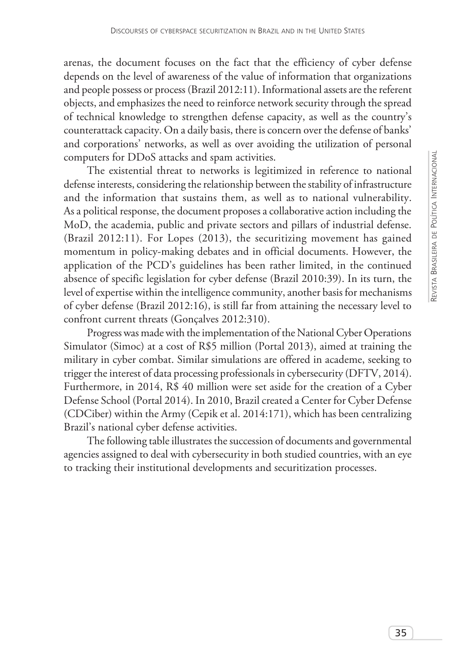arenas, the document focuses on the fact that the efficiency of cyber defense depends on the level of awareness of the value of information that organizations and people possess or process (Brazil 2012:11). Informational assets are the referent objects, and emphasizes the need to reinforce network security through the spread of technical knowledge to strengthen defense capacity, as well as the country's counterattack capacity. On a daily basis, there is concern over the defense of banks' and corporations' networks, as well as over avoiding the utilization of personal computers for DDoS attacks and spam activities.

The existential threat to networks is legitimized in reference to national defense interests, considering the relationship between the stability of infrastructure and the information that sustains them, as well as to national vulnerability. As a political response, the document proposes a collaborative action including the MoD, the academia, public and private sectors and pillars of industrial defense. (Brazil 2012:11). For Lopes (2013), the securitizing movement has gained momentum in policy-making debates and in official documents. However, the application of the PCD's guidelines has been rather limited, in the continued absence of specific legislation for cyber defense (Brazil 2010:39). In its turn, the level of expertise within the intelligence community, another basis for mechanisms of cyber defense (Brazil 2012:16), is still far from attaining the necessary level to confront current threats (Gonçalves 2012:310).

Progress was made with the implementation of the National Cyber Operations Simulator (Simoc) at a cost of R\$5 million (Portal 2013), aimed at training the military in cyber combat. Similar simulations are offered in academe, seeking to trigger the interest of data processing professionals in cybersecurity (DFTV, 2014). Furthermore, in 2014, R\$ 40 million were set aside for the creation of a Cyber Defense School (Portal 2014). In 2010, Brazil created a Center for Cyber Defense (CDCiber) within the Army (Cepik et al. 2014:171), which has been centralizing Brazil's national cyber defense activities.

The following table illustrates the succession of documents and governmental agencies assigned to deal with cybersecurity in both studied countries, with an eye to tracking their institutional developments and securitization processes.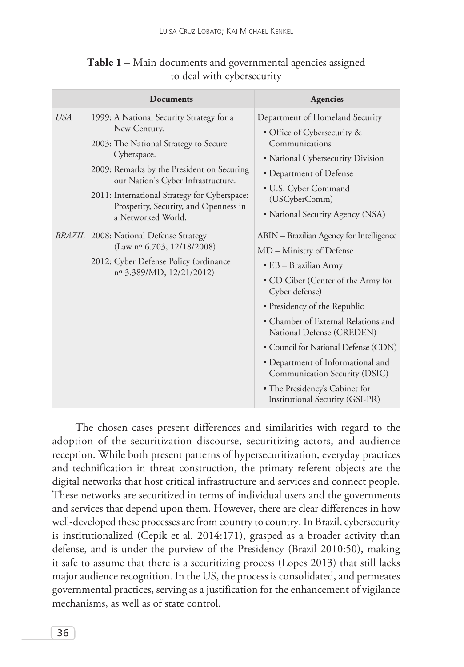|               | <b>Documents</b>                                                                                                                                                                                                                                                                                                    | Agencies                                                                                                                                                                                                                                                                                                                                                                                                                                             |
|---------------|---------------------------------------------------------------------------------------------------------------------------------------------------------------------------------------------------------------------------------------------------------------------------------------------------------------------|------------------------------------------------------------------------------------------------------------------------------------------------------------------------------------------------------------------------------------------------------------------------------------------------------------------------------------------------------------------------------------------------------------------------------------------------------|
| <b>USA</b>    | 1999: A National Security Strategy for a<br>New Century.<br>2003: The National Strategy to Secure<br>Cyberspace.<br>2009: Remarks by the President on Securing<br>our Nation's Cyber Infrastructure.<br>2011: International Strategy for Cyberspace:<br>Prosperity, Security, and Openness in<br>a Networked World. | Department of Homeland Security<br>• Office of Cybersecurity &<br>Communications<br>• National Cybersecurity Division<br>• Department of Defense<br>• U.S. Cyber Command<br>(USCyberComm)<br>· National Security Agency (NSA)                                                                                                                                                                                                                        |
| <b>BRAZIL</b> | 2008: National Defense Strategy<br>(Law nº 6.703, 12/18/2008)<br>2012: Cyber Defense Policy (ordinance<br>nº 3.389/MD, 12/21/2012)                                                                                                                                                                                  | ABIN – Brazilian Agency for Intelligence<br>MD - Ministry of Defense<br>$\bullet$ EB – Brazilian Army<br>• CD Ciber (Center of the Army for<br>Cyber defense)<br>• Presidency of the Republic<br>• Chamber of External Relations and<br>National Defense (CREDEN)<br>• Council for National Defense (CDN)<br>• Department of Informational and<br>Communication Security (DSIC)<br>• The Presidency's Cabinet for<br>Institutional Security (GSI-PR) |

**Table 1** – Main documents and governmental agencies assigned to deal with cybersecurity

The chosen cases present differences and similarities with regard to the adoption of the securitization discourse, securitizing actors, and audience reception. While both present patterns of hypersecuritization, everyday practices and technification in threat construction, the primary referent objects are the digital networks that host critical infrastructure and services and connect people. These networks are securitized in terms of individual users and the governments and services that depend upon them. However, there are clear differences in how well-developed these processes are from country to country. In Brazil, cybersecurity is institutionalized (Cepik et al. 2014:171), grasped as a broader activity than defense, and is under the purview of the Presidency (Brazil 2010:50), making it safe to assume that there is a securitizing process (Lopes 2013) that still lacks major audience recognition. In the US, the process is consolidated, and permeates governmental practices, serving as a justification for the enhancement of vigilance mechanisms, as well as of state control.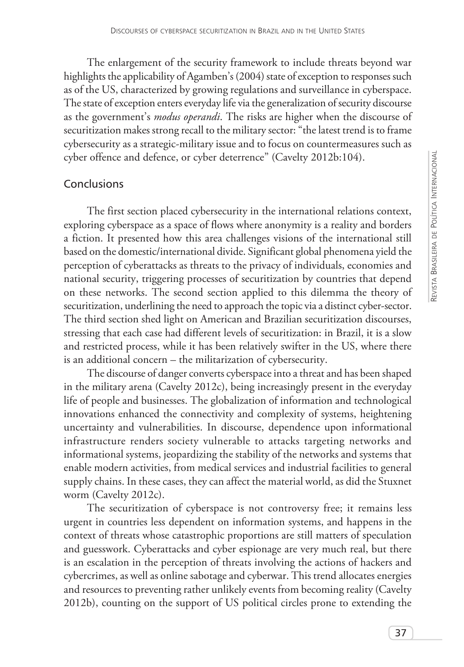The enlargement of the security framework to include threats beyond war highlights the applicability of Agamben's (2004) state of exception to responses such as of the US, characterized by growing regulations and surveillance in cyberspace. The state of exception enters everyday life via the generalization of security discourse as the government's *modus operandi*. The risks are higher when the discourse of securitization makes strong recall to the military sector: "the latest trend is to frame cybersecurity as a strategic-military issue and to focus on countermeasures such as cyber offence and defence, or cyber deterrence" (Cavelty 2012b:104).

## Conclusions

The first section placed cybersecurity in the international relations context, exploring cyberspace as a space of flows where anonymity is a reality and borders a fiction. It presented how this area challenges visions of the international still based on the domestic/international divide. Significant global phenomena yield the perception of cyberattacks as threats to the privacy of individuals, economies and national security, triggering processes of securitization by countries that depend on these networks. The second section applied to this dilemma the theory of securitization, underlining the need to approach the topic via a distinct cyber-sector. The third section shed light on American and Brazilian securitization discourses, stressing that each case had different levels of securitization: in Brazil, it is a slow and restricted process, while it has been relatively swifter in the US, where there is an additional concern – the militarization of cybersecurity.

The discourse of danger converts cyberspace into a threat and has been shaped in the military arena (Cavelty 2012c), being increasingly present in the everyday life of people and businesses. The globalization of information and technological innovations enhanced the connectivity and complexity of systems, heightening uncertainty and vulnerabilities. In discourse, dependence upon informational infrastructure renders society vulnerable to attacks targeting networks and informational systems, jeopardizing the stability of the networks and systems that enable modern activities, from medical services and industrial facilities to general supply chains. In these cases, they can affect the material world, as did the Stuxnet worm (Cavelty 2012c).

The securitization of cyberspace is not controversy free; it remains less urgent in countries less dependent on information systems, and happens in the context of threats whose catastrophic proportions are still matters of speculation and guesswork. Cyberattacks and cyber espionage are very much real, but there is an escalation in the perception of threats involving the actions of hackers and cybercrimes, as well as online sabotage and cyberwar. This trend allocates energies and resources to preventing rather unlikely events from becoming reality (Cavelty 2012b), counting on the support of US political circles prone to extending the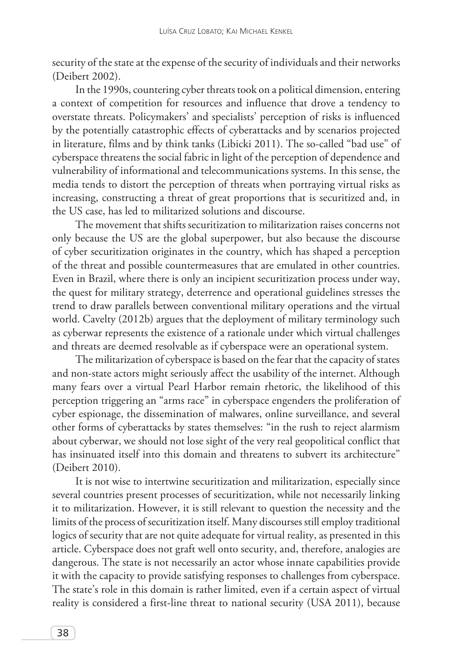security of the state at the expense of the security of individuals and their networks (Deibert 2002).

In the 1990s, countering cyber threats took on a political dimension, entering a context of competition for resources and influence that drove a tendency to overstate threats. Policymakers' and specialists' perception of risks is influenced by the potentially catastrophic effects of cyberattacks and by scenarios projected in literature, films and by think tanks (Libicki 2011). The so-called "bad use" of cyberspace threatens the social fabric in light of the perception of dependence and vulnerability of informational and telecommunications systems. In this sense, the media tends to distort the perception of threats when portraying virtual risks as increasing, constructing a threat of great proportions that is securitized and, in the US case, has led to militarized solutions and discourse.

The movement that shifts securitization to militarization raises concerns not only because the US are the global superpower, but also because the discourse of cyber securitization originates in the country, which has shaped a perception of the threat and possible countermeasures that are emulated in other countries. Even in Brazil, where there is only an incipient securitization process under way, the quest for military strategy, deterrence and operational guidelines stresses the trend to draw parallels between conventional military operations and the virtual world. Cavelty (2012b) argues that the deployment of military terminology such as cyberwar represents the existence of a rationale under which virtual challenges and threats are deemed resolvable as if cyberspace were an operational system.

The militarization of cyberspace is based on the fear that the capacity of states and non-state actors might seriously affect the usability of the internet. Although many fears over a virtual Pearl Harbor remain rhetoric, the likelihood of this perception triggering an "arms race" in cyberspace engenders the proliferation of cyber espionage, the dissemination of malwares, online surveillance, and several other forms of cyberattacks by states themselves: "in the rush to reject alarmism about cyberwar, we should not lose sight of the very real geopolitical conflict that has insinuated itself into this domain and threatens to subvert its architecture" (Deibert 2010).

It is not wise to intertwine securitization and militarization, especially since several countries present processes of securitization, while not necessarily linking it to militarization. However, it is still relevant to question the necessity and the limits of the process of securitization itself. Many discourses still employ traditional logics of security that are not quite adequate for virtual reality, as presented in this article. Cyberspace does not graft well onto security, and, therefore, analogies are dangerous. The state is not necessarily an actor whose innate capabilities provide it with the capacity to provide satisfying responses to challenges from cyberspace. The state's role in this domain is rather limited, even if a certain aspect of virtual reality is considered a first-line threat to national security (USA 2011), because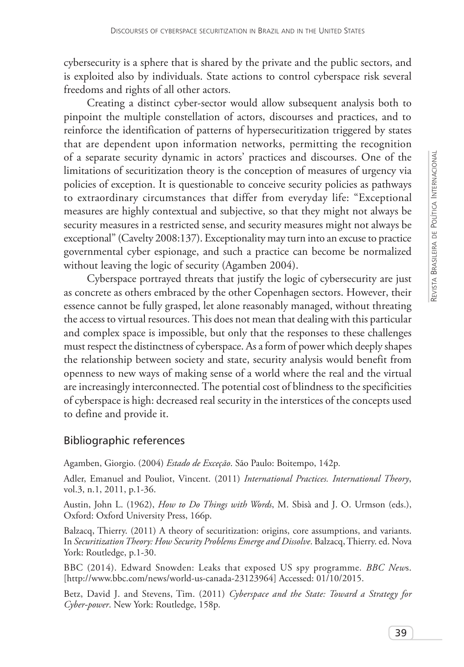cybersecurity is a sphere that is shared by the private and the public sectors, and is exploited also by individuals. State actions to control cyberspace risk several freedoms and rights of all other actors.

Creating a distinct cyber-sector would allow subsequent analysis both to pinpoint the multiple constellation of actors, discourses and practices, and to reinforce the identification of patterns of hypersecuritization triggered by states that are dependent upon information networks, permitting the recognition of a separate security dynamic in actors' practices and discourses. One of the limitations of securitization theory is the conception of measures of urgency via policies of exception. It is questionable to conceive security policies as pathways to extraordinary circumstances that differ from everyday life: "Exceptional measures are highly contextual and subjective, so that they might not always be security measures in a restricted sense, and security measures might not always be exceptional" (Cavelty 2008:137). Exceptionality may turn into an excuse to practice governmental cyber espionage, and such a practice can become be normalized without leaving the logic of security (Agamben 2004).

Cyberspace portrayed threats that justify the logic of cybersecurity are just as concrete as others embraced by the other Copenhagen sectors. However, their essence cannot be fully grasped, let alone reasonably managed, without threating the access to virtual resources. This does not mean that dealing with this particular and complex space is impossible, but only that the responses to these challenges must respect the distinctness of cyberspace. As a form of power which deeply shapes the relationship between society and state, security analysis would benefit from openness to new ways of making sense of a world where the real and the virtual are increasingly interconnected. The potential cost of blindness to the specificities of cyberspace is high: decreased real security in the interstices of the concepts used to define and provide it.

### Bibliographic references

Agamben, Giorgio. (2004) *Estado de Exceção*. São Paulo: Boitempo, 142p*.*

Adler, Emanuel and Pouliot, Vincent. (2011) *International Practices. International Theory*, vol.3, n.1, 2011, p.1-36.

Austin, John L. (1962), *How to Do Things with Words*, M. Sbisà and J. O. Urmson (eds.), Oxford: Oxford University Press, 166p.

Balzacq, Thierry. (2011) A theory of securitization: origins, core assumptions, and variants. In *Securitization Theory: How Security Problems Emerge and Dissolve*. Balzacq, Thierry. ed. Nova York: Routledge, p.1-30.

BBC (2014). Edward Snowden: Leaks that exposed US spy programme. *BBC New*s. [http://www.bbc.com/news/world-us-canada-23123964] Accessed: 01/10/2015.

Betz, David J. and Stevens, Tim. (2011) *Cyberspace and the State: Toward a Strategy for Cyber-power*. New York: Routledge, 158p.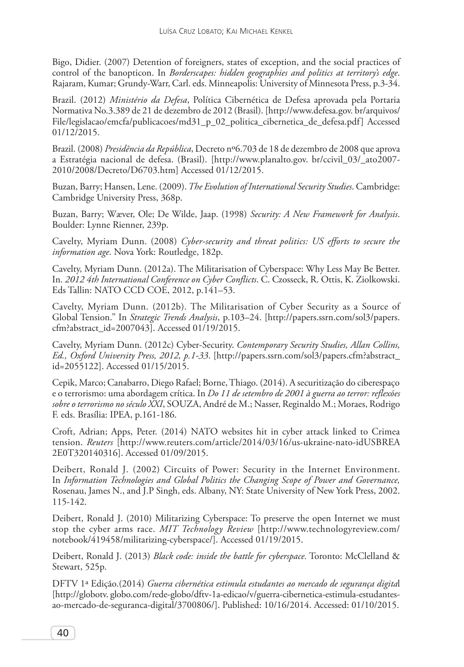Bigo, Didier. (2007) Detention of foreigners, states of exception, and the social practices of control of the banopticon. In *Borderscapes: hidden geographies and politics at territory's edge*. Rajaram, Kumar; Grundy-Warr, Carl. eds. Minneapolis: University of Minnesota Press, p.3-34.

Brazil. (2012) *Ministério da Defesa*, Política Cibernética de Defesa aprovada pela Portaria Normativa No.3.389 de 21 de dezembro de 2012 (Brasil). [http://www.defesa.gov. br/arquivos/ File/legislacao/emcfa/publicacoes/md31\_p\_02\_politica\_cibernetica\_de\_defesa.pdf] Accessed  $01/12/2015$ .

Brazil. (2008) *Presidência da República*, Decreto nº6.703 de 18 de dezembro de 2008 que aprova a Estratégia nacional de defesa. (Brasil). [http://www.planalto.gov. br/ccivil\_03/\_ato2007- 2010/2008/Decreto/D6703.htm] Accessed 01/12/2015.

Buzan, Barry; Hansen, Lene. (2009). *The Evolution of International Security Studies*. Cambridge: Cambridge University Press, 368p.

Buzan, Barry; Wæver, Ole; De Wilde, Jaap. (1998) *Security: A New Framework for Analysis*. Boulder: Lynne Rienner, 239p.

Cavelty, Myriam Dunn. (2008) *Cyber-security and threat politics: US efforts to secure the information age*. Nova York: Routledge, 182p.

Cavelty, Myriam Dunn. (2012a). The Militarisation of Cyberspace: Why Less May Be Better. In. *2012 4th International Conference on Cyber Conflicts*. C. Czosseck, R. Ottis, K. Ziolkowski. Eds Tallin: NATO CCD COE, 2012, p.141–53.

Cavelty, Myriam Dunn. (2012b). The Militarisation of Cyber Security as a Source of Global Tension." In *Strategic Trends Analysis*, p.103–24. [http://papers.ssrn.com/sol3/papers. cfm?abstract\_id=2007043]. Accessed 01/19/2015.

Cavelty, Myriam Dunn. (2012c) Cyber-Security. *Contemporary Security Studies, Allan Collins, Ed., Oxford University Press, 2012, p.1-33*. [http://papers.ssrn.com/sol3/papers.cfm?abstract\_ id=2055122]. Accessed 01/15/2015.

Cepik, Marco; Canabarro, Diego Rafael; Borne, Thiago. (2014). A securitização do ciberespaço e o terrorismo: uma abordagem crítica. In *Do 11 de setembro de 2001 à guerra ao terror: reflexões sobre o terrorismo no século XXI*, SOUZA, André de M.; Nasser, Reginaldo M.; Moraes, Rodrigo F. eds. Brasília: IPEA, p.161-186.

Croft, Adrian; Apps, Peter. (2014) NATO websites hit in cyber attack linked to Crimea tension. *Reuters* [http://www.reuters.com/article/2014/03/16/us-ukraine-nato-idUSBREA 2E0T320140316]. Accessed 01/09/2015.

Deibert, Ronald J. (2002) Circuits of Power: Security in the Internet Environment. In *Information Technologies and Global Politics the Changing Scope of Power and Governance,* Rosenau, James N., and J.P Singh, eds. Albany, NY: State University of New York Press, 2002. 115-142.

Deibert, Ronald J. (2010) Militarizing Cyberspace: To preserve the open Internet we must stop the cyber arms race. *MIT Technology Review* [http://www.technologyreview.com/ notebook/419458/militarizing-cyberspace/]. Accessed 01/19/2015.

Deibert, Ronald J. (2013) *Black code: inside the battle for cyberspace.* Toronto: McClelland & Stewart, 525p.

DFTV 1ª Edição.(2014) *Guerra cibernética estimula estudantes ao mercado de segurança digita*l [http://globotv. globo.com/rede-globo/dftv-1a-edicao/v/guerra-cibernetica-estimula-estudantesao-mercado-de-seguranca-digital/3700806/]. Published: 10/16/2014. Accessed: 01/10/2015.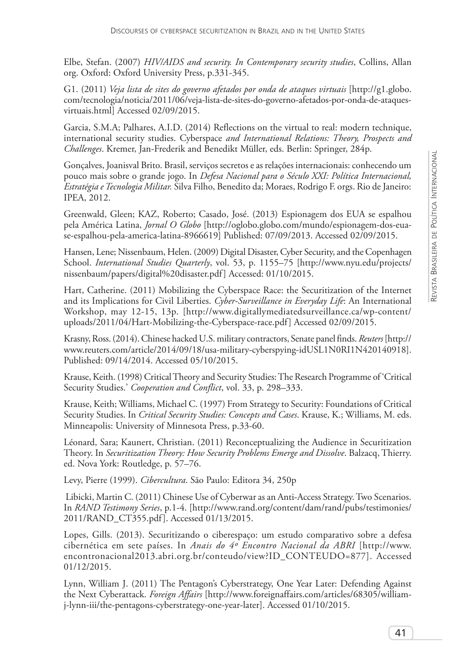Elbe, Stefan. (2007) *HIV/AIDS and security. In Contemporary security studies*, Collins, Allan org. Oxford: Oxford University Press, p.331-345.

G1. (2011) *Veja lista de sites do governo afetados por onda de ataques virtuais* [http://g1.globo. com/tecnologia/noticia/2011/06/veja-lista-de-sites-do-governo-afetados-por-onda-de-ataquesvirtuais.html] Accessed 02/09/2015.

Garcia, S.M.A; Palhares, A.I.D. (2014) Reflections on the virtual to real: modern technique, international security studies. Cyberspace *and International Relations: Theory, Prospects and Challenges*. Kremer, Jan-Frederik and Benedikt Müller, eds. Berlin: Springer, 284p.

Gonçalves, Joanisval Brito. Brasil, serviços secretos e as relações internacionais: conhecendo um pouco mais sobre o grande jogo. In *Defesa Nacional para o Século XXI: Política Internacional, Estratégia e Tecnologia Militar.* Silva Filho, Benedito da; Moraes, Rodrigo F. orgs. Rio de Janeiro: IPEA, 2012.

Greenwald, Gleen; KAZ, Roberto; Casado, José. (2013) Espionagem dos EUA se espalhou pela América Latina, *Jornal O Globo* [http://oglobo.globo.com/mundo/espionagem-dos-euase-espalhou-pela-america-latina-8966619] Published: 07/09/2013. Accessed 02/09/2015.

Hansen, Lene; Nissenbaum, Helen. (2009) Digital Disaster, Cyber Security, and the Copenhagen School. *International Studies Quarterly*, vol. 53, p. 1155–75 [http://www.nyu.edu/projects/ nissenbaum/papers/digital%20disaster.pdf] Accessed: 01/10/2015.

Hart, Catherine. (2011) Mobilizing the Cyberspace Race: the Securitization of the Internet and its Implications for Civil Liberties. *Cyber-Surveillance in Everyday Life*: An International Workshop, may 12-15, 13p. [http://www.digitallymediatedsurveillance.ca/wp-content/ uploads/2011/04/Hart-Mobilizing-the-Cyberspace-race.pdf] Accessed 02/09/2015.

Krasny, Ross. (2014). Chinese hacked U.S. military contractors, Senate panel finds. *Reuters* [http:// www.reuters.com/article/2014/09/18/usa-military-cyberspying-idUSL1N0RI1N420140918]. Published: 09/14/2014. Accessed 05/10/2015.

Krause, Keith. (1998) Critical Theory and Security Studies: The Research Programme of 'Critical Security Studies.' *Cooperation and Conflict*, vol. 33, p. 298–333.

Krause, Keith; Williams, Michael C. (1997) From Strategy to Security: Foundations of Critical Security Studies. In *Critical Security Studies: Concepts and Cases*. Krause, K.; Williams, M. eds. Minneapolis: University of Minnesota Press, p.33-60.

Léonard, Sara; Kaunert, Christian. (2011) Reconceptualizing the Audience in Securitization Theory. In *Securitization Theory: How Security Problems Emerge and Dissolve*. Balzacq, Thierry. ed. Nova York: Routledge, p. 57–76.

Levy, Pierre (1999). *Cibercultura*. São Paulo: Editora 34, 250p

 Libicki, Martin C. (2011) Chinese Use of Cyberwar as an Anti-Access Strategy. Two Scenarios. In *RAND Testimony Series*, p.1-4. [http://www.rand.org/content/dam/rand/pubs/testimonies/ 2011/RAND\_CT355.pdf]. Accessed 01/13/2015.

Lopes, Gills. (2013). Securitizando o ciberespaço: um estudo comparativo sobre a defesa cibernética em sete países. In *Anais do 4º Encontro Nacional da ABRI* [http://www. encontronacional2013.abri.org.br/conteudo/view?ID\_CONTEUDO=877]. Accessed 01/12/2015.

Lynn, William J. (2011) The Pentagon's Cyberstrategy, One Year Later: Defending Against the Next Cyberattack. *Foreign Affairs* [http://www.foreignaffairs.com/articles/68305/williamj-lynn-iii/the-pentagons-cyberstrategy-one-year-later]. Accessed 01/10/2015.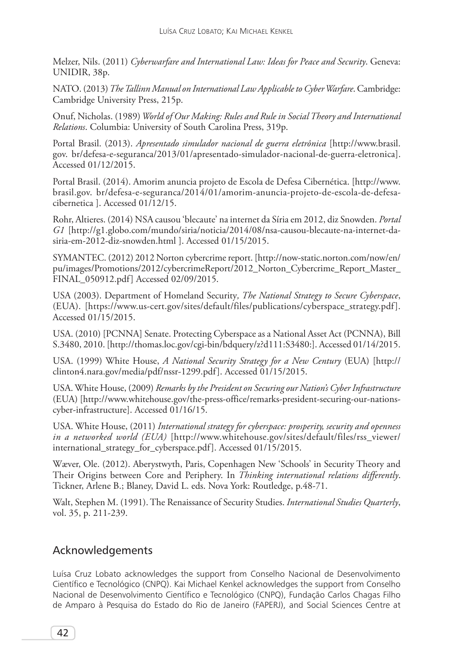Melzer, Nils. (2011) *Cyberwarfare and International Law: Ideas for Peace and Security*. Geneva: UNIDIR, 38p.

NATO. (2013) *The Tallinn Manual on International Law Applicable to Cyber Warfare*. Cambridge: Cambridge University Press, 215p.

Onuf, Nicholas. (1989) *World of Our Making: Rules and Rule in Social Theory and International Relations*. Columbia: University of South Carolina Press, 319p.

Portal Brasil. (2013). *Apresentado simulador nacional de guerra eletrônica* [http://www.brasil. gov. br/defesa-e-seguranca/2013/01/apresentado-simulador-nacional-de-guerra-eletronica]. Accessed 01/12/2015.

Portal Brasil. (2014). Amorim anuncia projeto de Escola de Defesa Cibernética. [http://www. brasil.gov. br/defesa-e-seguranca/2014/01/amorim-anuncia-projeto-de-escola-de-defesacibernetica ]. Accessed 01/12/15.

Rohr, Altieres. (2014) NSA causou 'blecaute' na internet da Síria em 2012, diz Snowden. *Portal G1* [http://g1.globo.com/mundo/siria/noticia/2014/08/nsa-causou-blecaute-na-internet-dasiria-em-2012-diz-snowden.html ]. Accessed 01/15/2015.

SYMANTEC. (2012) 2012 Norton cybercrime report. [http://now-static.norton.com/now/en/ pu/images/Promotions/2012/cybercrimeReport/2012\_Norton\_Cybercrime\_Report\_Master\_ FINAL\_050912.pdf] Accessed 02/09/2015.

USA (2003). Department of Homeland Security*, The National Strategy to Secure Cyberspace*, (EUA). [https://www.us-cert.gov/sites/default/files/publications/cyberspace\_strategy.pdf]. Accessed 01/15/2015.

USA. (2010) [PCNNA] Senate. Protecting Cyberspace as a National Asset Act (PCNNA), Bill S.3480, 2010. [http://thomas.loc.gov/cgi-bin/bdquery/z?d111:S3480:]. Accessed 01/14/2015.

USA. (1999) White House, *A National Security Strategy for a New Century* (EUA) [http:// clinton4.nara.gov/media/pdf/nssr-1299.pdf]. Accessed 01/15/2015.

USA. White House, (2009) *Remarks by the President on Securing our Nation's Cyber Infrastructure* (EUA) [http://www.whitehouse.gov/the-press-office/remarks-president-securing-our-nationscyber-infrastructure]. Accessed 01/16/15.

USA. White House, (2011) *International strategy for cyberspace: prosperity, security and openness in a networked world (EUA)* [http://www.whitehouse.gov/sites/default/files/rss\_viewer/ international\_strategy\_for\_cyberspace.pdf]. Accessed 01/15/2015.

Wæver, Ole. (2012). Aberystwyth, Paris, Copenhagen New 'Schools' in Security Theory and Their Origins between Core and Periphery. In *Thinking international relations differently*. Tickner, Arlene B.; Blaney, David L. eds. Nova York: Routledge, p.48-71.

Walt, Stephen M. (1991). The Renaissance of Security Studies. *International Studies Quarterly*, vol. 35, p. 211-239.

## Acknowledgements

Luísa Cruz Lobato acknowledges the support from Conselho Nacional de Desenvolvimento Científico e Tecnológico (CNPQ). Kai Michael Kenkel acknowledges the support from Conselho Nacional de Desenvolvimento Científico e Tecnológico (CNPQ), Fundação Carlos Chagas Filho de Amparo à Pesquisa do Estado do Rio de Janeiro (FAPERJ), and Social Sciences Centre at